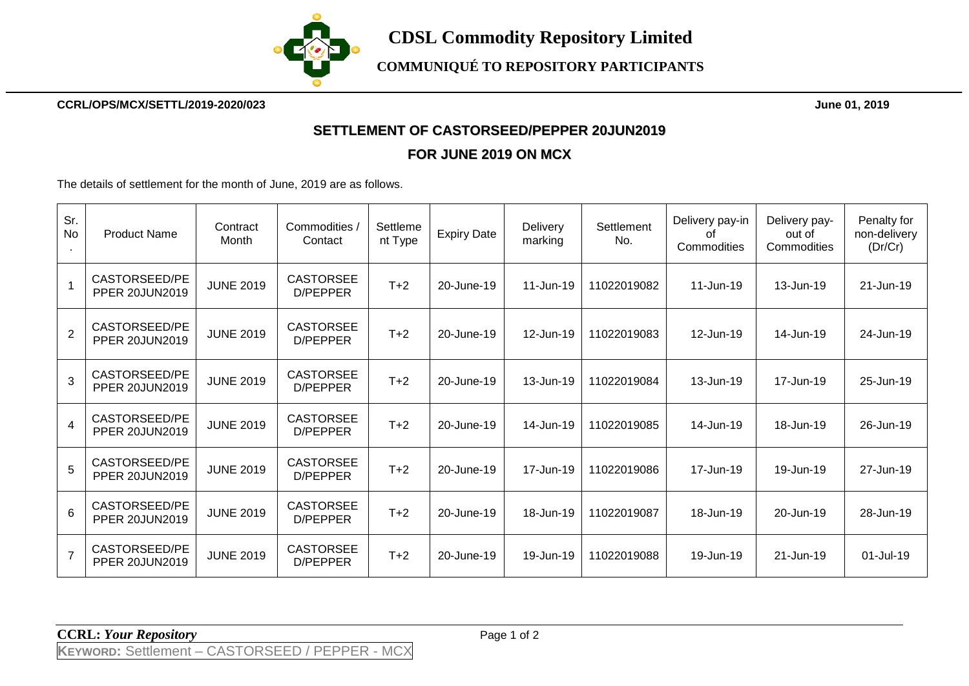

**CCRL/OPS/MCX/SETTL/2019-2020/023 June 01, 2019**

## **SETTLEMENT OF CASTORSEED/PEPPER 20JUN2019**

## **FOR JUNE 2019 ON MCX**

The details of settlement for the month of June, 2019 are as follows.

| Sr.<br>No      | <b>Product Name</b>                    | Contract<br>Month | Commodities /<br>Contact     | Settleme<br>nt Type | <b>Expiry Date</b> | Delivery<br>marking | Settlement<br>No. | Delivery pay-in<br>0f<br>Commodities | Delivery pay-<br>out of<br>Commodities | Penalty for<br>non-delivery<br>(Dr/Cr) |
|----------------|----------------------------------------|-------------------|------------------------------|---------------------|--------------------|---------------------|-------------------|--------------------------------------|----------------------------------------|----------------------------------------|
|                | CASTORSEED/PE<br><b>PPER 20JUN2019</b> | <b>JUNE 2019</b>  | <b>CASTORSEE</b><br>D/PEPPER | $T+2$               | 20-June-19         | 11-Jun-19           | 11022019082       | 11-Jun-19                            | 13-Jun-19                              | 21-Jun-19                              |
| $\overline{2}$ | CASTORSEED/PE<br><b>PPER 20JUN2019</b> | <b>JUNE 2019</b>  | <b>CASTORSEE</b><br>D/PEPPER | $T+2$               | 20-June-19         | 12-Jun-19           | 11022019083       | 12-Jun-19                            | 14-Jun-19                              | 24-Jun-19                              |
| 3              | CASTORSEED/PE<br><b>PPER 20JUN2019</b> | <b>JUNE 2019</b>  | <b>CASTORSEE</b><br>D/PEPPER | $T+2$               | 20-June-19         | 13-Jun-19           | 11022019084       | 13-Jun-19                            | 17-Jun-19                              | 25-Jun-19                              |
| $\overline{4}$ | CASTORSEED/PE<br><b>PPER 20JUN2019</b> | <b>JUNE 2019</b>  | <b>CASTORSEE</b><br>D/PEPPER | $T+2$               | 20-June-19         | 14-Jun-19           | 11022019085       | 14-Jun-19                            | 18-Jun-19                              | 26-Jun-19                              |
| 5              | CASTORSEED/PE<br><b>PPER 20JUN2019</b> | <b>JUNE 2019</b>  | <b>CASTORSEE</b><br>D/PEPPER | $T+2$               | 20-June-19         | 17-Jun-19           | 11022019086       | 17-Jun-19                            | 19-Jun-19                              | 27-Jun-19                              |
| $6\phantom{a}$ | CASTORSEED/PE<br><b>PPER 20JUN2019</b> | <b>JUNE 2019</b>  | <b>CASTORSEE</b><br>D/PEPPER | $T+2$               | 20-June-19         | 18-Jun-19           | 11022019087       | 18-Jun-19                            | 20-Jun-19                              | 28-Jun-19                              |
| $\overline{7}$ | CASTORSEED/PE<br><b>PPER 20JUN2019</b> | <b>JUNE 2019</b>  | <b>CASTORSEE</b><br>D/PEPPER | $T+2$               | 20-June-19         | 19-Jun-19           | 11022019088       | 19-Jun-19                            | 21-Jun-19                              | 01-Jul-19                              |

**CCRL:** *Your Repository* Page 1 of 2

**KEYWORD:** Settlement – CASTORSEED / PEPPER - MCX